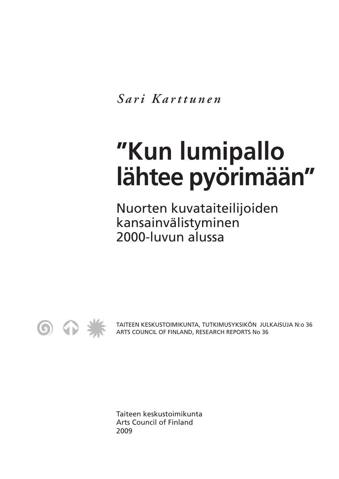*S ari Karttunen*

## **"Kun lumipallo lähtee pyörimään"**

Nuorten kuvataiteilijoiden kansainvälistyminen 2000-luvun alussa



TAITEEN KESKUSTOIMIKUNTA, TUTKIMUSYKSIKÖN JULKAISUJA N:o 36 ARTS COUNCIL OF FINLAND, RESEARCH REPORTS No 36

Taiteen keskustoimikunta Arts Council of Finland 2009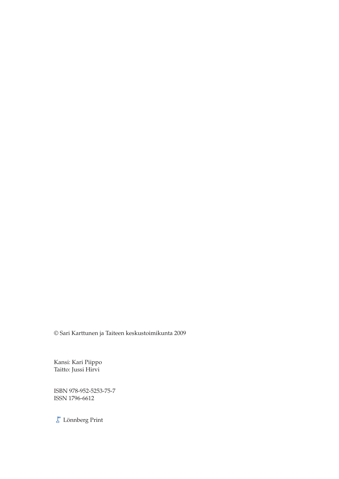© Sari Karttunen ja Taiteen keskustoimikunta 2009

Kansi: Kari Piippo Taitto: Jussi Hirvi

ISBN 978-952-5253-75-7 ISSN 1796-6612

 $\overline{\mathcal{E}}^{\text{\tiny\rm E}}$ Lönnberg Print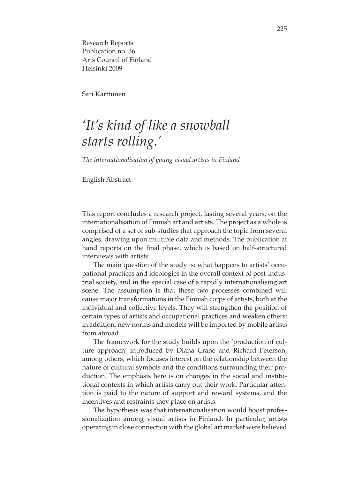Research Reports Publication no. 36 Arts Council of Finland Helsinki 2009

Sari Karttunen

## *'It's kind of like a snowball starts rolling.'*

*The internationalisation of young visual artists in Finland*

English Abstract

This report concludes a research project, lasting several years, on the internationalisation of Finnish art and artists. The project as a whole is comprised of a set of sub-studies that approach the topic from several angles, drawing upon multiple data and methods. The publication at hand reports on the final phase, which is based on half-structured interviews with artists.

The main question of the study is: what happens to artists' occupational practices and ideologies in the overall context of post-industrial society, and in the special case of a rapidly internationalising art scene. The assumption is that these two processes combined will cause major transformations in the Finnish corps of artists, both at the individual and collective levels. They will strengthen the position of certain types of artists and occupational practices and weaken others; in addition, new norms and models will be imported by mobile artists from abroad.

The framework for the study builds upon the 'production of culture approach' introduced by Diana Crane and Richard Peterson, among others, which focuses interest on the relationship between the nature of cultural symbols and the conditions surrounding their production. The emphasis here is on changes in the social and institutional contexts in which artists carry out their work. Particular attention is paid to the nature of support and reward systems, and the incentives and restraints they place on artists.

The hypothesis was that internationalisation would boost professionalization among visual artists in Finland. In particular, artists operating in close connection with the global art market were believed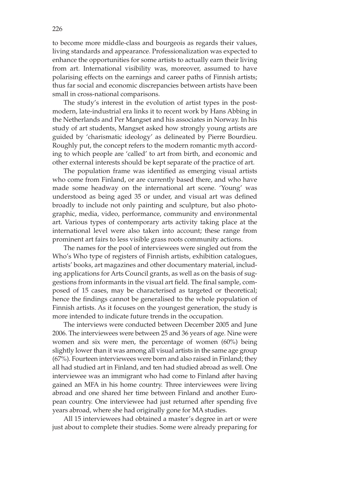to become more middle-class and bourgeois as regards their values, living standards and appearance. Professionalization was expected to enhance the opportunities for some artists to actually earn their living from art. International visibility was, moreover, assumed to have polarising effects on the earnings and career paths of Finnish artists; thus far social and economic discrepancies between artists have been small in cross-national comparisons.

The study's interest in the evolution of artist types in the postmodern, late-industrial era links it to recent work by Hans Abbing in the Netherlands and Per Mangset and his associates in Norway. In his study of art students, Mangset asked how strongly young artists are guided by 'charismatic ideology' as delineated by Pierre Bourdieu. Roughly put, the concept refers to the modern romantic myth according to which people are 'called' to art from birth, and economic and other external interests should be kept separate of the practice of art.

The population frame was identified as emerging visual artists who come from Finland, or are currently based there, and who have made some headway on the international art scene. 'Young' was understood as being aged 35 or under, and visual art was defined broadly to include not only painting and sculpture, but also photographic, media, video, performance, community and environmental art. Various types of contemporary arts activity taking place at the international level were also taken into account; these range from prominent art fairs to less visible grass roots community actions.

The names for the pool of interviewees were singled out from the Who's Who type of registers of Finnish artists, exhibition catalogues, artists' books, art magazines and other documentary material, including applications for Arts Council grants, as well as on the basis of suggestions from informants in the visual art field. The final sample, composed of 15 cases, may be characterised as targeted or theoretical; hence the findings cannot be generalised to the whole population of Finnish artists. As it focuses on the youngest generation, the study is more intended to indicate future trends in the occupation.

The interviews were conducted between December 2005 and June 2006. The interviewees were between 25 and 36 years of age. Nine were women and six were men, the percentage of women (60%) being slightly lower than it was among all visual artists in the same age group (67%). Fourteen interviewees were born and also raised in Finland; they all had studied art in Finland, and ten had studied abroad as well. One interviewee was an immigrant who had come to Finland after having gained an MFA in his home country. Three interviewees were living abroad and one shared her time between Finland and another European country. One interviewee had just returned after spending five years abroad, where she had originally gone for MA studies.

All 15 interviewees had obtained a master's degree in art or were just about to complete their studies. Some were already preparing for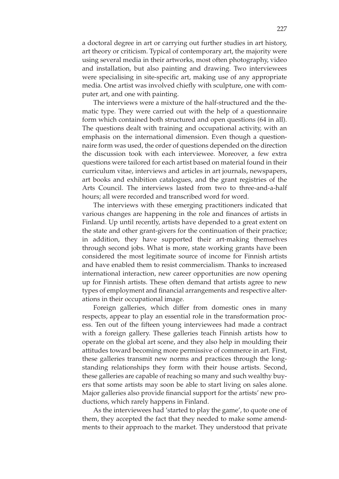a doctoral degree in art or carrying out further studies in art history, art theory or criticism. Typical of contemporary art, the majority were using several media in their artworks, most often photography, video and installation, but also painting and drawing. Two interviewees were specialising in site-specific art, making use of any appropriate media. One artist was involved chiefly with sculpture, one with computer art, and one with painting.

The interviews were a mixture of the half-structured and the thematic type. They were carried out with the help of a questionnaire form which contained both structured and open questions (64 in all). The questions dealt with training and occupational activity, with an emphasis on the international dimension. Even though a questionnaire form was used, the order of questions depended on the direction the discussion took with each interviewee. Moreover, a few extra questions were tailored for each artist based on material found in their curriculum vitae, interviews and articles in art journals, newspapers, art books and exhibition catalogues, and the grant registries of the Arts Council. The interviews lasted from two to three-and-a-half hours; all were recorded and transcribed word for word.

The interviews with these emerging practitioners indicated that various changes are happening in the role and finances of artists in Finland. Up until recently, artists have depended to a great extent on the state and other grant-givers for the continuation of their practice; in addition, they have supported their art-making themselves through second jobs. What is more, state working grants have been considered the most legitimate source of income for Finnish artists and have enabled them to resist commercialism. Thanks to increased international interaction, new career opportunities are now opening up for Finnish artists. These often demand that artists agree to new types of employment and financial arrangements and respective alterations in their occupational image.

Foreign galleries, which differ from domestic ones in many respects, appear to play an essential role in the transformation process. Ten out of the fifteen young interviewees had made a contract with a foreign gallery. These galleries teach Finnish artists how to operate on the global art scene, and they also help in moulding their attitudes toward becoming more permissive of commerce in art. First, these galleries transmit new norms and practices through the longstanding relationships they form with their house artists. Second, these galleries are capable of reaching so many and such wealthy buyers that some artists may soon be able to start living on sales alone. Major galleries also provide financial support for the artists' new productions, which rarely happens in Finland.

As the interviewees had 'started to play the game', to quote one of them, they accepted the fact that they needed to make some amendments to their approach to the market. They understood that private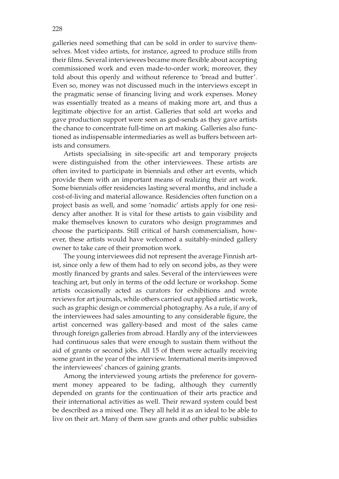galleries need something that can be sold in order to survive themselves. Most video artists, for instance, agreed to produce stills from their films. Several interviewees became more flexible about accepting commissioned work and even made-to-order work; moreover, they told about this openly and without reference to 'bread and butter'. Even so, money was not discussed much in the interviews except in the pragmatic sense of financing living and work expenses. Money was essentially treated as a means of making more art, and thus a legitimate objective for an artist. Galleries that sold art works and gave production support were seen as god-sends as they gave artists the chance to concentrate full-time on art making. Galleries also functioned as indispensable intermediaries as well as buffers between artists and consumers.

Artists specialising in site-specific art and temporary projects were distinguished from the other interviewees. These artists are often invited to participate in biennials and other art events, which provide them with an important means of realizing their art work. Some biennials offer residencies lasting several months, and include a cost-of-living and material allowance. Residencies often function on a project basis as well, and some 'nomadic' artists apply for one residency after another. It is vital for these artists to gain visibility and make themselves known to curators who design programmes and choose the participants. Still critical of harsh commercialism, however, these artists would have welcomed a suitably-minded gallery owner to take care of their promotion work.

The young interviewees did not represent the average Finnish artist, since only a few of them had to rely on second jobs, as they were mostly financed by grants and sales. Several of the interviewees were teaching art, but only in terms of the odd lecture or workshop. Some artists occasionally acted as curators for exhibitions and wrote reviews for art journals, while others carried out applied artistic work, such as graphic design or commercial photography. As a rule, if any of the interviewees had sales amounting to any considerable figure, the artist concerned was gallery-based and most of the sales came through foreign galleries from abroad. Hardly any of the interviewees had continuous sales that were enough to sustain them without the aid of grants or second jobs. All 15 of them were actually receiving some grant in the year of the interview. International merits improved the interviewees' chances of gaining grants.

Among the interviewed young artists the preference for government money appeared to be fading, although they currently depended on grants for the continuation of their arts practice and their international activities as well. Their reward system could best be described as a mixed one. They all held it as an ideal to be able to live on their art. Many of them saw grants and other public subsidies